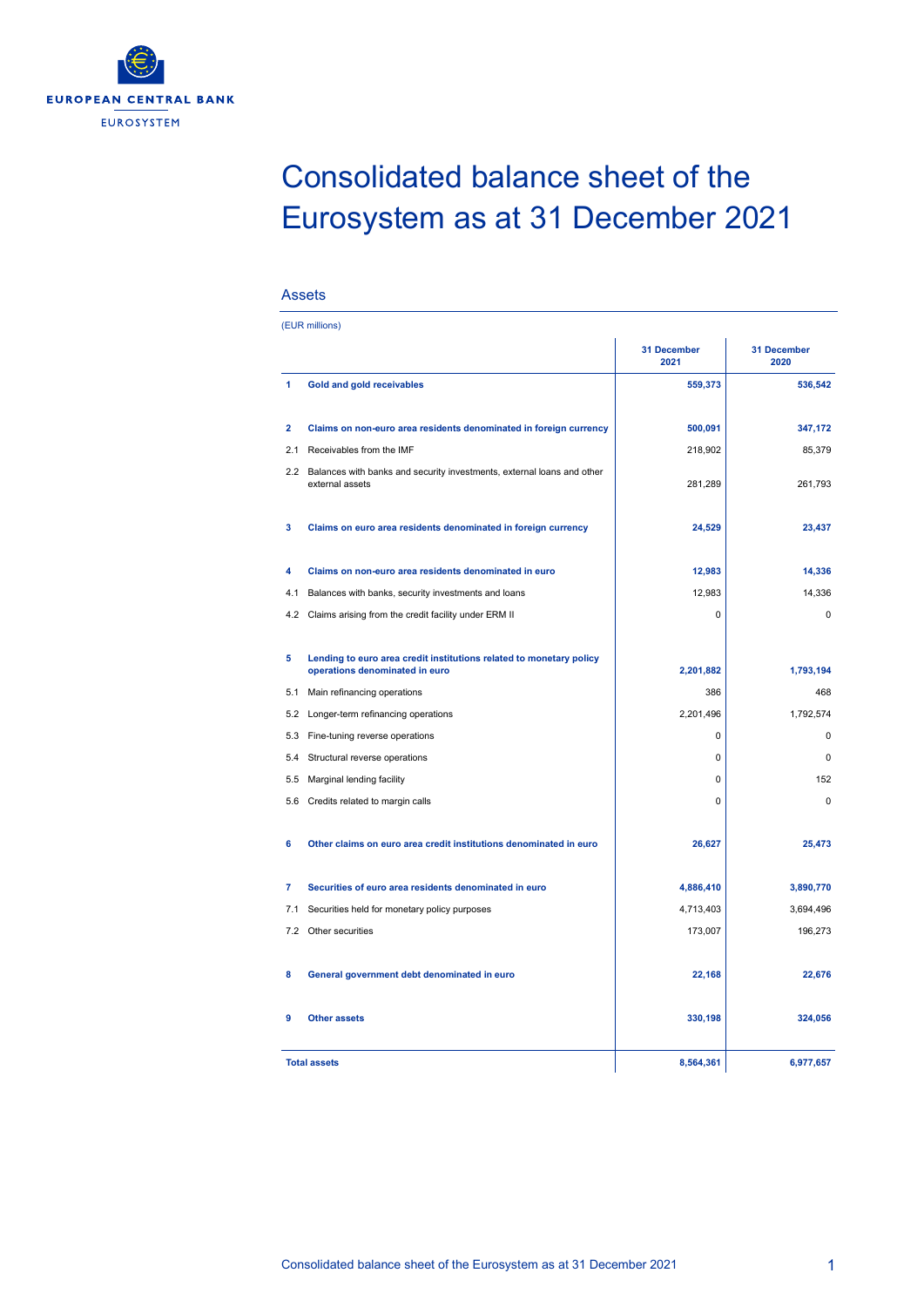

## Consolidated balance sheet of the Eurosystem as at 31 December 2021

## Assets

|                | (EUR millions)                                                                                        |                     |                            |
|----------------|-------------------------------------------------------------------------------------------------------|---------------------|----------------------------|
|                |                                                                                                       | 31 December<br>2021 | <b>31 December</b><br>2020 |
| 1              | Gold and gold receivables                                                                             | 559,373             | 536,542                    |
| $\overline{2}$ | Claims on non-euro area residents denominated in foreign currency                                     | 500,091             | 347,172                    |
| 2.1            | Receivables from the IMF                                                                              | 218,902             | 85,379                     |
| $2.2^{\circ}$  | Balances with banks and security investments, external loans and other<br>external assets             | 281,289             | 261,793                    |
| 3              | Claims on euro area residents denominated in foreign currency                                         | 24,529              | 23,437                     |
| 4              | Claims on non-euro area residents denominated in euro                                                 | 12,983              | 14,336                     |
| 4.1            | Balances with banks, security investments and loans                                                   | 12,983              | 14,336                     |
| 4.2            | Claims arising from the credit facility under ERM II                                                  | 0                   | $\pmb{0}$                  |
| 5              | Lending to euro area credit institutions related to monetary policy<br>operations denominated in euro | 2,201,882           | 1,793,194                  |
| 5.1            | Main refinancing operations                                                                           | 386                 | 468                        |
| 5.2            | Longer-term refinancing operations                                                                    | 2.201.496           | 1.792.574                  |
|                | 5.3 Fine-tuning reverse operations                                                                    | $\mathbf 0$         | $\mathbf 0$                |
| 5.4            | Structural reverse operations                                                                         | $\mathbf 0$         | $\Omega$                   |
| 5.5            | Marginal lending facility                                                                             | $\mathbf 0$         | 152                        |
| 5.6            | Credits related to margin calls                                                                       | $\mathbf 0$         | $\Omega$                   |
| 6              | Other claims on euro area credit institutions denominated in euro                                     | 26,627              | 25,473                     |
| $\overline{7}$ | Securities of euro area residents denominated in euro                                                 | 4,886,410           | 3,890,770                  |
| 7.1            | Securities held for monetary policy purposes                                                          | 4,713,403           | 3,694,496                  |
| 7.2            | Other securities                                                                                      | 173,007             | 196,273                    |
| 8              | General government debt denominated in euro                                                           | 22,168              | 22,676                     |
| 9              | <b>Other assets</b>                                                                                   | 330,198             | 324,056                    |
|                | <b>Total assets</b>                                                                                   | 8,564,361           | 6,977,657                  |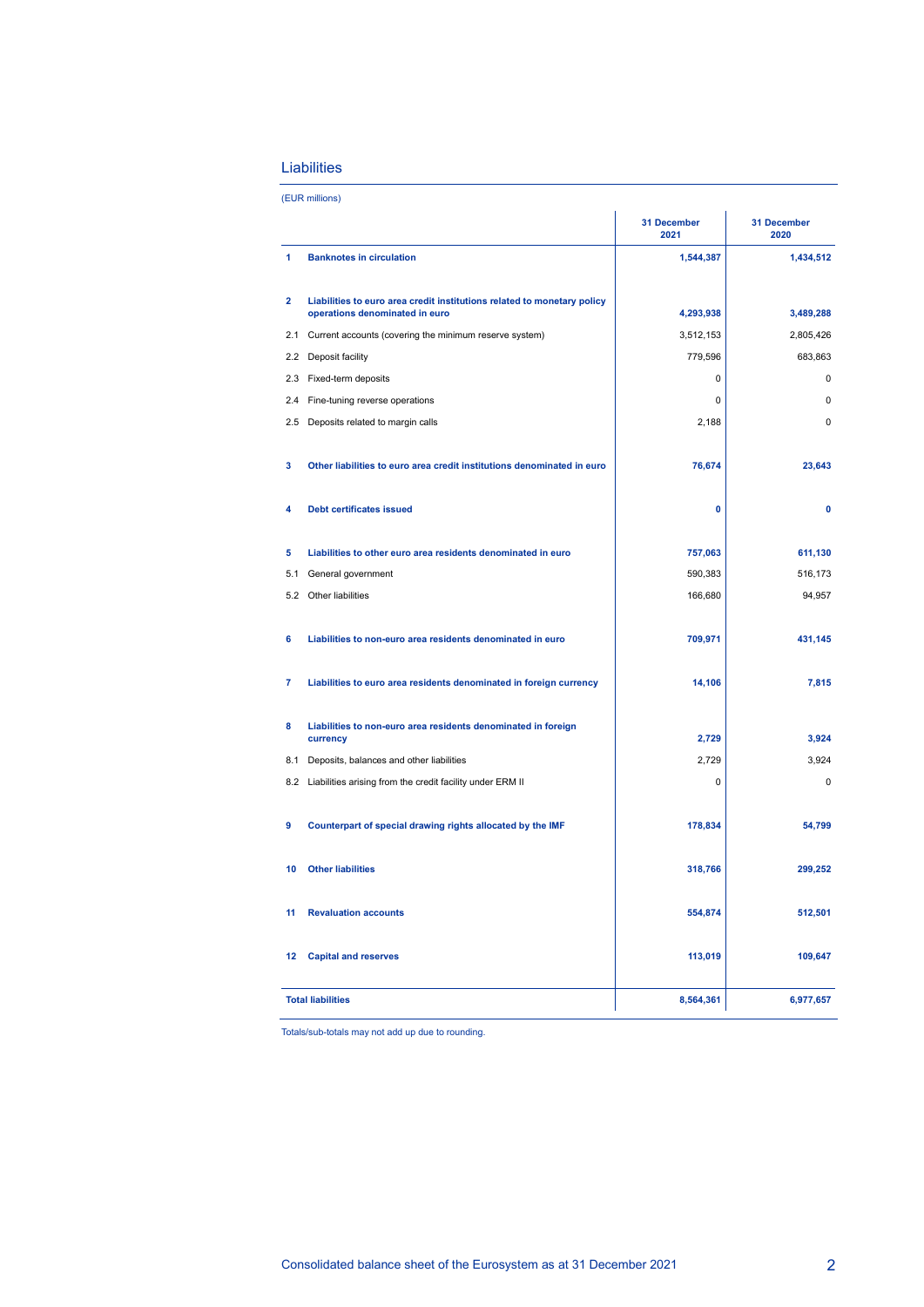## Liabilities

|                |                                                                                                           | 31 December<br>2021 | <b>31 December</b><br>2020 |
|----------------|-----------------------------------------------------------------------------------------------------------|---------------------|----------------------------|
| 1              | <b>Banknotes in circulation</b>                                                                           | 1,544,387           | 1,434,512                  |
| $\overline{2}$ | Liabilities to euro area credit institutions related to monetary policy<br>operations denominated in euro | 4,293,938           | 3,489,288                  |
|                | 2.1 Current accounts (covering the minimum reserve system)                                                | 3,512,153           | 2,805,426                  |
| 2.2            | Deposit facility                                                                                          | 779,596             | 683,863                    |
|                | 2.3 Fixed-term deposits                                                                                   | 0                   | $\mathbf 0$                |
|                | 2.4 Fine-tuning reverse operations                                                                        | 0                   | $\mathbf 0$                |
|                | 2.5 Deposits related to margin calls                                                                      | 2,188               | $\mathbf 0$                |
| 3              | Other liabilities to euro area credit institutions denominated in euro                                    | 76,674              | 23,643                     |
| 4              | <b>Debt certificates issued</b>                                                                           | 0                   | $\mathbf 0$                |
| 5              | Liabilities to other euro area residents denominated in euro                                              | 757,063             | 611,130                    |
| 5.1            | General government                                                                                        | 590,383             | 516,173                    |
|                | 5.2 Other liabilities                                                                                     | 166,680             | 94,957                     |
| 6              | Liabilities to non-euro area residents denominated in euro                                                | 709,971             | 431,145                    |
| 7              | Liabilities to euro area residents denominated in foreign currency                                        | 14,106              | 7,815                      |
| 8              | Liabilities to non-euro area residents denominated in foreign<br>currency                                 | 2,729               | 3,924                      |
| 8.1            | Deposits, balances and other liabilities                                                                  | 2,729               | 3,924                      |
|                | 8.2 Liabilities arising from the credit facility under ERM II                                             | 0                   | $\mathbf 0$                |
| 9              | Counterpart of special drawing rights allocated by the IMF                                                | 178,834             | 54,799                     |
| 10             | <b>Other liabilities</b>                                                                                  | 318,766             | 299,252                    |
| 11             | <b>Revaluation accounts</b>                                                                               | 554,874             | 512,501                    |
| 12             | <b>Capital and reserves</b>                                                                               | 113,019             | 109,647                    |
|                | <b>Total liabilities</b>                                                                                  | 8,564,361           | 6,977,657                  |

Totals/sub-totals may not add up due to rounding.